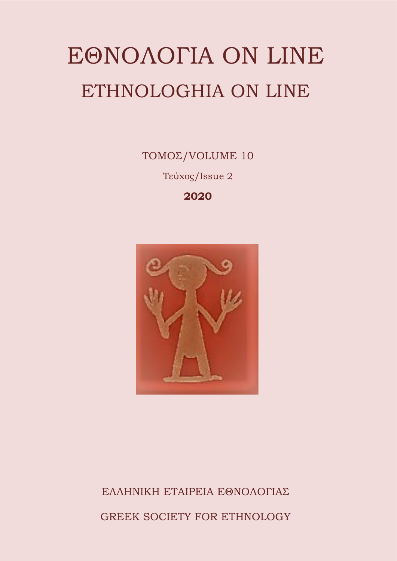# ΕΘΝΟΛΟΓΙΑ ON LINE ETHNOLOGHIA ON LINE

ΤΟΜΟΣ/VOLUME 10 Τεύχος/Issue 2

**2020**



## ΕΛΛΗΝΙΚΗ ΕΤΑΙΡΕΙΑ ΕΘΝΟΛΟΓΙΑΣ GREEK SOCIETY FOR ETHNOLOGY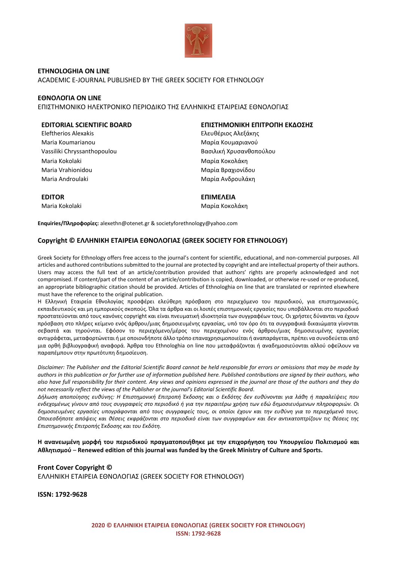

**ETHNOLOGHIA ON LINE** ACADEMIC E-JOURNAL PUBLISHED BY THE GREEK SOCIETY FOR ETHNOLOGY

#### **ΕΘΝΟΛΟΓΙΑ ON LINE**

ΕΠΙΣΤΗΜΟΝΙΚΟ ΗΛΕΚΤΡΟΝΙΚΟ ΠΕΡΙΟΔΙΚΟ ΤΗΣ ΕΛΛΗΝΙΚΗΣ ΕΤΑΙΡΕΙΑΣ ΕΘΝΟΛΟΓΙΑΣ

Eleftherios Alexakis Ελευθέριος Αλεξάκης Maria Koumarianou **Μαρία Κουμαριανού** Μαρία Κουμαριανού Vassiliki Chryssanthopoulou Βασιλική Χρυσανθοπούλου Maria Kokolaki **Μαρία Κοκολάκη** Maria Vrahionidou **Μαρία Βραχιονίδου** Μαρία Βραχιονίδου Maria Androulaki Μαρία Ανδρουλάκη

#### **EDITORIAL SCIENTIFIC BOARD ΕΠΙΣΤΗΜΟΝΙΚΗ ΕΠΙΤΡΟΠΗ ΕΚΔΟΣΗΣ**

**EDITOR ΕΠΙΜΕΛΕΙΑ** Maria Kokolaki **Μαρία Κοκολάκη** 

**Enquiries/Πληροφορίες:** alexethn@otenet.gr & societyforethnology@yahoo.com

#### **Copyright © ΕΛΛΗΝΙΚΗ ΕΤΑΙΡΕΙΑ ΕΘΝΟΛΟΓΙΑΣ (GREEK SOCIETY FOR ETHNOLOGY)**

Greek Society for Ethnology offers free access to the journal's content for scientific, educational, and non-commercial purposes. All articles and authored contributionssubmitted to the journal are protected by copyright and are intellectual property of their authors. Users may access the full text of an article/contribution provided that authors' rights are properly acknowledged and not compromised. If content/part of the content of an article/contribution is copied, downloaded, or otherwise re-used or re-produced, an appropriate bibliographic citation should be provided. Articles of Ethnologhia on line that are translated or reprinted elsewhere must have the reference to the original publication.

Η Ελληνική Εταιρεία Εθνολογίας προσφέρει ελεύθερη πρόσβαση στο περιεχόμενο του περιοδικού, για επιστημονικούς, εκπαιδευτικούς και μη εμπορικούς σκοπούς. Όλα τα άρθρα και οι λοιπές επιστημονικές εργασίες που υποβάλλονται στο περιοδικό προστατεύονται από τους κανόνες copyright και είναι πνευματική ιδιοκτησία των συγγραφέων τους. Οι χρήστες δύνανται να έχουν πρόσβαση στο πλήρες κείμενο ενός άρθρου/μιας δημοσιευμένης εργασίας, υπό τον όρο ότι τα συγγραφικά δικαιώματα γίνονται σεβαστά και τηρούνται. Εφόσον το περιεχόμενο/μέρος του περιεχομένου ενός άρθρου/μιας δημοσιευμένης εργασίας αντιγράφεται, μεταφορτώνεται ή με οποιονδήποτε άλλο τρόπο επαναχρησιμοποιείται ή αναπαράγεται, πρέπει να συνοδεύεται από μια ορθή βιβλιογραφική αναφορά. Άρθρα του Ethnologhia on line που μεταφράζονται ή αναδημοσιεύονται αλλού οφείλουν να παραπέμπουν στην πρωτότυπη δημοσίευση.

*Disclaimer: The Publisher and the Editorial Scientific Board cannot be held responsible for errors or omissions that may be made by authors in this publication or for further use of information published here. Published contributions are signed by their authors, who also have full responsibility for their content. Any views and opinions expressed in the journal are those of the authors and they do not necessarily reflect the views of the Publisher or the journal's Editorial Scientific Board.*

*Δήλωση αποποίησης ευθύνης: Η Επιστημονική Επιτροπή Έκδοσης και ο Εκδότης δεν ευθύνονται για λάθη ή παραλείψεις που ενδεχομένως γίνουν από τους συγγραφείς στο περιοδικό ή για την περαιτέρω χρήση των εδώ δημοσιευόμενων πληροφοριών. Οι δημοσιευμένες εργασίες υπογράφονται από τους συγγραφείς τους, οι οποίοι έχουν και την ευθύνη για το περιεχόμενό τους. Οποιεσδήποτε απόψεις και θέσεις εκφράζονται στο περιοδικό είναι των συγγραφέων και δεν αντικατοπτρίζουν τις θέσεις της Επιστημονικής Επιτροπής Έκδοσης και του Εκδότη.*

**Η ανανεωμένη μορφή του περιοδικού πραγματοποιήθηκε με την επιχορήγηση του Υπουργείου Πολιτισμού και Αθλητισμού** – **Renewed edition of this journal was funded by the Greek Ministry of Culture and Sports.**

**Front Cover Copyright ©** ΕΛΛΗΝΙΚΗ ΕΤΑΙΡΕΙΑ ΕΘΝΟΛΟΓΙΑΣ (GREEK SOCIETY FOR ETHNOLOGY)

**ISSN: 1792-9628**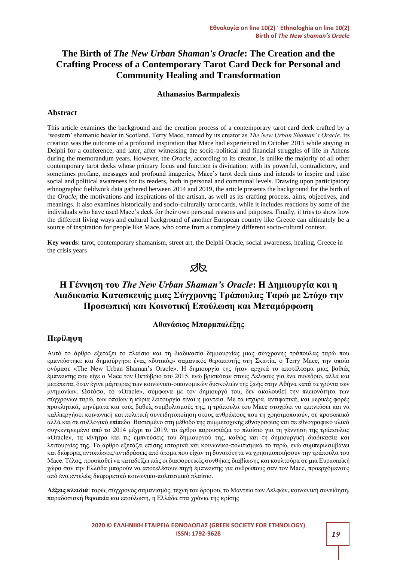#### **The Birth of** *The New Urban Shaman's Oracle***: The Creation and the Crafting Process of a Contemporary Tarot Card Deck for Personal and Community Healing and Transformation**

#### **Athanasios Barmpalexis**

#### **Abstract**

This article examines the background and the creation process of a contemporary tarot card deck crafted by a 'western' shamanic healer in Scotland, Terry Mace, named by its creator as *The New Urban Shaman's Oracle*. Its creation was the outcome of a profound inspiration that Mace had experienced in October 2015 while staying in Delphi for a conference, and later, after witnessing the socio-political and financial struggles of life in Athens during the memorandum years. However, the *Oracle*, according to its creator, is unlike the majority of all other contemporary tarot decks whose primary focus and function is divination; with its powerful, contradictory, and sometimes profane, messages and profound imageries, Mace's tarot deck aims and intends to inspire and raise social and political awareness for its readers, both in personal and communal levels. Drawing upon participatory ethnographic fieldwork data gathered between 2014 and 2019, the article presents the background for the birth of the *Oracle*, the motivations and inspirations of the artisan, as well as its crafting process, aims, objectives, and meanings. It also examines historically and socio-culturally tarot cards, while it includes reactions by some of the individuals who have used Mace's deck for their own personal reasons and purposes. Finally, it tries to show how the different living ways and cultural background of another European country like Greece can ultimately be a source of inspiration for people like Mace, who come from a completely different socio-cultural context.

**Key words:** tarot, contemporary shamanism, street art, the Delphi Oracle, social awareness, healing, Greece in the crisis years

### **Sis**

#### **H Γέννηση του** *The New Urban Shaman's Oracle***: Η Δημιουργία και η Διαδικασία Κατασκευής μιας Σύγχρονης Τράπουλας Ταρώ με Στόχο την Προσωπική και Κοινοτική Επούλωση και Μεταμόρφωση**

#### **Αθανάσιος Μπαρμπαλέξης**

#### **Περίληψη**

Αυτό το άρθρο εξετάζει το πλαίσιο και τη διαδικασία δημιουργίας μιας σύγχρονης τράπουλας ταρώ που εμπνεύστηκε και δημιούργησε ένας «δυτικός» σαμανικός θεραπευτής στη Σκωτία, ο Terry Mace, την οποία ονόμασε «The New Urban Shaman's Oracle». Η δημιουργία της ήταν αρχικά το αποτέλεσμα μιας βαθιάς έμπνευσης που είχε ο Mace τον Οκτώβριο του 2015, ενώ βρισκόταν στους Δελφούς για ένα συνέδριο, αλλά και μετέπειτα, όταν έγινε μάρτυρας των κοινωνικο-οικονομικών δυσκολιών της ζωής στην Αθήνα κατά τα χρόνια των μνημονίων. Ωστόσο, το «Oracle», σύμφωνα με τον δημιουργό του, δεν ακολουθεί την πλειονότητα των σύγχρονων ταρώ, των οποίων η κύρια λειτουργία είναι η μαντεία. Με τα ισχυρά, αντιφατικά, και μερικές φορές προκλητικά, μηνύματα και τους βαθείς συμβολισμούς της, η τράπουλα του Mace στοχεύει να εμπνεύσει και να καλλιεργήσει κοινωνική και πολιτική συνειδητοποίηση στους ανθρώπους που τη χρησιμοποιούν, σε προσωπικό αλλά και σε συλλογικό επίπεδο. Βασισμένο στη μέθοδο της συμμετοχικής εθνογραφίας και σε εθνογραφικό υλικό συγκεντρωμένο από το 2014 μέχρι το 2019, το άρθρο παρουσιάζει το πλαίσιο για τη γέννηση της τράπουλας «Oracle», τα κίνητρα και τις εμπνεύσεις του δημιουργού της, καθώς και τη δημιουργική διαδικασία και λειτουργίες της. Το άρθρο εξετάζει επίσης ιστορικά και κοινωνικο-πολιτισμικά το ταρώ, ενώ συμπεριλαμβάνει και διάφορες εντυπώσεις/αντιδράσεις από άτομα που είχαν τη δυνατότητα να χρησιμοποιήσουν την τράπουλα του Mace. Τέλος, προσπαθεί να καταδείξει πώς οι διαφορετικές συνθήκες διαβίωσης και κουλτούρα σε μια Ευρωπαϊκή χώρα σαν την Ελλάδα μπορούν να αποτελέσουν πηγή έμπνευσης για ανθρώπους σαν τον Mace, προερχόμενους από ένα εντελώς διαφορετικό κοινωνικο-πολιτισμικό πλαίσιο.

**Λέξεις κλειδιά**: ταρώ, σύγχρονος σαμανισμός, τέχνη του δρόμου, το Μαντείο των Δελφών, κοινωνική συνείδηση, παραδοσιακή θεραπεία και επούλωση, η Ελλάδα στα χρόνια της κρίσης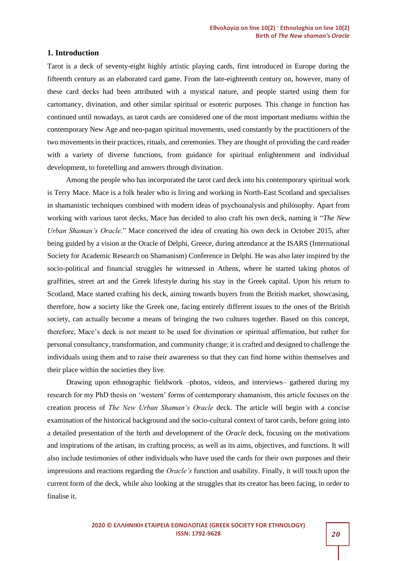#### **1. Introduction**

Tarot is a deck of seventy-eight highly artistic playing cards, first introduced in Europe during the fifteenth century as an elaborated card game. From the late-eighteenth century on, however, many of these card decks had been attributed with a mystical nature, and people started using them for cartomancy, divination, and other similar spiritual or esoteric purposes. This change in function has continued until nowadays, as tarot cards are considered one of the most important mediums within the contemporary New Age and neo-pagan spiritual movements, used constantly by the practitioners of the two movements in their practices, rituals, and ceremonies. They are thought of providing the card reader with a variety of diverse functions, from guidance for spiritual enlightenment and individual development, to foretelling and answers through divination.

Among the people who has incorporated the tarot card deck into his contemporary spiritual work is Terry Mace. Mace is a folk healer who is living and working in North-East Scotland and specialises in shamanistic techniques combined with modern ideas of psychoanalysis and philosophy. Apart from working with various tarot decks, Mace has decided to also craft his own deck, naming it "*The New Urban Shaman's Oracle*." Mace conceived the idea of creating his own deck in October 2015, after being guided by a vision at the Oracle of Delphi, Greece, during attendance at the ISARS (International Society for Academic Research on Shamanism) Conference in Delphi. He was also later inspired by the socio-political and financial struggles he witnessed in Athens, where he started taking photos of graffities, street art and the Greek lifestyle during his stay in the Greek capital. Upon his return to Scotland, Mace started crafting his deck, aiming towards buyers from the British market, showcasing, therefore, how a society like the Greek one, facing entirely different issues to the ones of the British society, can actually become a means of bringing the two cultures together. Based on this concept, therefore, Mace's deck is not meant to be used for divination or spiritual affirmation, but rather for personal consultancy, transformation, and community change; it is crafted and designed to challenge the individuals using them and to raise their awareness so that they can find home within themselves and their place within the societies they live.

Drawing upon ethnographic fieldwork –photos, videos, and interviews– gathered during my research for my PhD thesis on 'western' forms of contemporary shamanism, this article focuses on the creation process of *The New Urban Shaman's Oracle* deck. The article will begin with a concise examination of the historical background and the socio-cultural context of tarot cards, before going into a detailed presentation of the birth and development of the *Oracle* deck, focusing on the motivations and inspirations of the artisan, its crafting process, as well as its aims, objectives, and functions. It will also include testimonies of other individuals who have used the cards for their own purposes and their impressions and reactions regarding the *Oracle's* function and usability. Finally, it will touch upon the current form of the deck, while also looking at the struggles that its creator has been facing, in order to finalise it.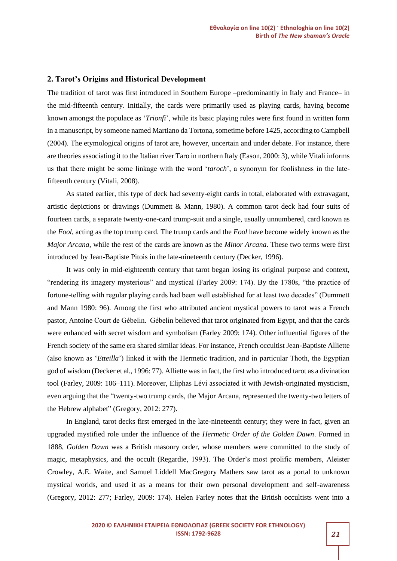#### **2. Tarot's Origins and Historical Development**

The tradition of tarot was first introduced in Southern Europe –predominantly in Italy and France– in the mid-fifteenth century. Initially, the cards were primarily used as playing cards, having become known amongst the populace as '*Trionfi*', while its basic playing rules were first found in written form in a manuscript, by someone named Martiano da Tortona, sometime before 1425, according to Campbell (2004). The etymological origins of tarot are, however, uncertain and under debate. For instance, there are theories associating it to the Italian river Taro in northern Italy (Eason, 2000: 3), while Vitali informs us that there might be some linkage with the word '*taroch*', a synonym for foolishness in the latefifteenth century (Vitali, 2008).

As stated earlier, this type of deck had seventy-eight cards in total, elaborated with extravagant, artistic depictions or drawings (Dummett & Mann, 1980). A common tarot deck had four suits of fourteen cards, a separate twenty-one-card trump-suit and a single, usually unnumbered, card known as the *Fool*, acting as the top trump card. The trump cards and the *Fool* have become widely known as the *Major Arcana*, while the rest of the cards are known as the *Minor Arcana*. These two terms were first introduced by Jean-Baptiste Pitois in the late-nineteenth century (Decker, 1996).

It was only in mid-eighteenth century that tarot began losing its original purpose and context, "rendering its imagery mysterious" and mystical (Farley 2009: 174). By the 1780s, "the practice of fortune-telling with regular playing cards had been well established for at least two decades" (Dummett and Mann 1980: 96). Among the first who attributed ancient mystical powers to tarot was a French pastor, Antoine Court de Gébelin. Gébelin believed that tarot originated from Egypt, and that the cards were enhanced with secret wisdom and symbolism (Farley 2009: 174). Other influential figures of the French society of the same era shared similar ideas. For instance, French occultist Jean-Baptiste Alliette (also known as '*Etteilla*') linked it with the Hermetic tradition, and in particular Thoth, the Egyptian god of wisdom (Decker et al., 1996: 77). Alliette was in fact, the first who introduced tarot as a divination tool (Farley, 2009: 106–111). Moreover, Eliphas Lévi associated it with Jewish-originated mysticism, even arguing that the "twenty-two trump cards, the Major Arcana, represented the twenty-two letters of the Hebrew alphabet" (Gregory, 2012: 277).

In England, tarot decks first emerged in the late-nineteenth century; they were in fact, given an upgraded mystified role under the influence of the *Hermetic Order of the Golden Dawn*. Formed in 1888, *Golden Dawn* was a British masonry order, whose members were committed to the study of magic, metaphysics, and the occult (Regardie, 1993). The Order's most prolific members, Aleister Crowley, A.E. Waite, and Samuel Liddell MacGregory Mathers saw tarot as a portal to unknown mystical worlds, and used it as a means for their own personal development and self-awareness (Gregory, 2012: 277; Farley, 2009: 174). Helen Farley notes that the British occultists went into a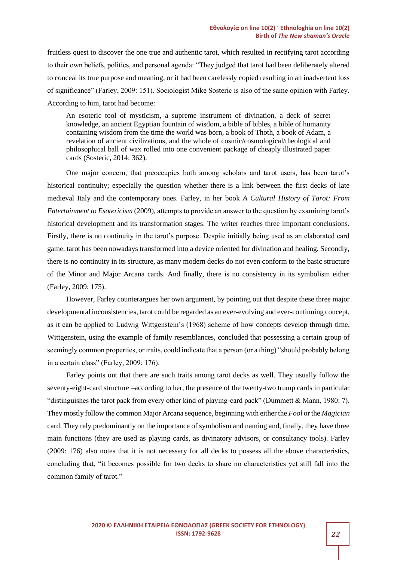fruitless quest to discover the one true and authentic tarot, which resulted in rectifying tarot according to their own beliefs, politics, and personal agenda: "They judged that tarot had been deliberately altered to conceal its true purpose and meaning, or it had been carelessly copied resulting in an inadvertent loss of significance" (Farley, 2009: 151). Sociologist Mike Sosteric is also of the same opinion with Farley. According to him, tarot had become:

An esoteric tool of mysticism, a supreme instrument of divination, a deck of secret knowledge, an ancient Egyptian fountain of wisdom, a bible of bibles, a bible of humanity containing wisdom from the time the world was born, a book of Thoth, a book of Adam, a revelation of ancient civilizations, and the whole of cosmic/cosmological/theological and philosophical ball of wax rolled into one convenient package of cheaply illustrated paper cards (Sosteric, 2014: 362).

One major concern, that preoccupies both among scholars and tarot users, has been tarot's historical continuity; especially the question whether there is a link between the first decks of late medieval Italy and the contemporary ones. Farley, in her book *A Cultural History of Tarot: From Entertainment to Esotericism* (2009)*,* attempts to provide an answer to the question by examining tarot's historical development and its transformation stages. The writer reaches three important conclusions. Firstly, there is no continuity in the tarot's purpose. Despite initially being used as an elaborated card game, tarot has been nowadays transformed into a device oriented for divination and healing. Secondly, there is no continuity in its structure, as many modern decks do not even conform to the basic structure of the Minor and Major Arcana cards. And finally, there is no consistency in its symbolism either (Farley, 2009: 175).

However, Farley counterargues her own argument, by pointing out that despite these three major developmental inconsistencies, tarot could be regarded as an ever-evolving and ever-continuing concept, as it can be applied to Ludwig Wittgenstein's (1968) scheme of how concepts develop through time. Wittgenstein, using the example of family resemblances, concluded that possessing a certain group of seemingly common properties, or traits, could indicate that a person (or a thing) "should probably belong in a certain class" (Farley, 2009: 176).

Farley points out that there are such traits among tarot decks as well. They usually follow the seventy-eight-card structure –according to her, the presence of the twenty-two trump cards in particular "distinguishes the tarot pack from every other kind of playing-card pack" (Dummett & Mann, 1980: 7). They mostly follow the common Major Arcana sequence, beginning with either the *Fool* or the *Magician* card. They rely predominantly on the importance of symbolism and naming and, finally, they have three main functions (they are used as playing cards, as divinatory advisors, or consultancy tools). Farley (2009: 176) also notes that it is not necessary for all decks to possess all the above characteristics, concluding that, "it becomes possible for two decks to share no characteristics yet still fall into the common family of tarot."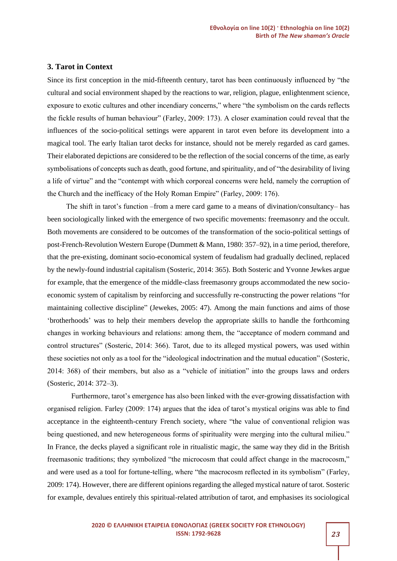#### **3. Tarot in Context**

Since its first conception in the mid-fifteenth century, tarot has been continuously influenced by "the cultural and social environment shaped by the reactions to war, religion, plague, enlightenment science, exposure to exotic cultures and other incendiary concerns," where "the symbolism on the cards reflects the fickle results of human behaviour" (Farley, 2009: 173). A closer examination could reveal that the influences of the socio-political settings were apparent in tarot even before its development into a magical tool. The early Italian tarot decks for instance, should not be merely regarded as card games. Their elaborated depictions are considered to be the reflection of the social concerns of the time, as early symbolisations of concepts such as death, good fortune, and spirituality, and of "the desirability of living a life of virtue" and the "contempt with which corporeal concerns were held, namely the corruption of the Church and the inefficacy of the Holy Roman Empire" (Farley, 2009: 176).

The shift in tarot's function –from a mere card game to a means of divination/consultancy– has been sociologically linked with the emergence of two specific movements: freemasonry and the occult. Both movements are considered to be outcomes of the transformation of the socio-political settings of post-French-Revolution Western Europe (Dummett & Mann, 1980: 357–92), in a time period, therefore, that the pre-existing, dominant socio-economical system of feudalism had gradually declined, replaced by the newly-found industrial capitalism (Sosteric, 2014: 365). Both Sosteric and Yvonne Jewkes argue for example, that the emergence of the middle-class freemasonry groups accommodated the new socioeconomic system of capitalism by reinforcing and successfully re-constructing the power relations "for maintaining collective discipline" (Jewekes, 2005: 47). Among the main functions and aims of those 'brotherhoods' was to help their members develop the appropriate skills to handle the forthcoming changes in working behaviours and relations: among them, the "acceptance of modern command and control structures" (Sosteric, 2014: 366). Tarot, due to its alleged mystical powers, was used within these societies not only as a tool for the "ideological indoctrination and the mutual education" (Sosteric, 2014: 368) of their members, but also as a "vehicle of initiation" into the groups laws and orders (Sosteric, 2014: 372–3).

Furthermore, tarot's emergence has also been linked with the ever-growing dissatisfaction with organised religion. Farley (2009: 174) argues that the idea of tarot's mystical origins was able to find acceptance in the eighteenth-century French society, where "the value of conventional religion was being questioned, and new heterogeneous forms of spirituality were merging into the cultural milieu." In France, the decks played a significant role in ritualistic magic, the same way they did in the British freemasonic traditions; they symbolized "the microcosm that could affect change in the macrocosm," and were used as a tool for fortune-telling, where "the macrocosm reflected in its symbolism" (Farley, 2009: 174). However, there are different opinions regarding the alleged mystical nature of tarot. Sosteric for example, devalues entirely this spiritual-related attribution of tarot, and emphasises its sociological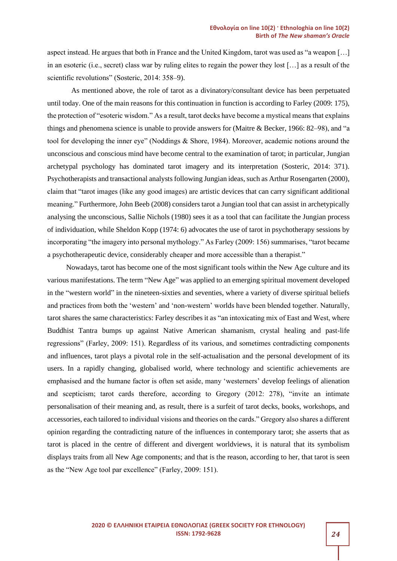aspect instead. He argues that both in France and the United Kingdom, tarot was used as "a weapon […] in an esoteric (i.e., secret) class war by ruling elites to regain the power they lost […] as a result of the scientific revolutions" (Sosteric, 2014: 358–9).

As mentioned above, the role of tarot as a divinatory/consultant device has been perpetuated until today. One of the main reasons for this continuation in function is according to Farley (2009: 175), the protection of "esoteric wisdom." As a result, tarot decks have become a mystical means that explains things and phenomena science is unable to provide answers for (Maitre & Becker, 1966: 82–98), and "a tool for developing the inner eye" (Noddings & Shore, 1984). Moreover, academic notions around the unconscious and conscious mind have become central to the examination of tarot; in particular, Jungian archetypal psychology has dominated tarot imagery and its interpretation (Sosteric, 2014: 371). Psychotherapists and transactional analysts following Jungian ideas, such as Arthur Rosengarten (2000), claim that "tarot images (like any good images) are artistic devices that can carry significant additional meaning." Furthermore, John Beeb (2008) considers tarot a Jungian tool that can assist in archetypically analysing the unconscious, Sallie Nichols (1980) sees it as a tool that can facilitate the Jungian process of individuation, while Sheldon Kopp (1974: 6) advocates the use of tarot in psychotherapy sessions by incorporating "the imagery into personal mythology." As Farley (2009: 156) summarises, "tarot became a psychotherapeutic device, considerably cheaper and more accessible than a therapist."

Nowadays, tarot has become one of the most significant tools within the New Age culture and its various manifestations. The term "New Age" was applied to an emerging spiritual movement developed in the "western world" in the nineteen-sixties and seventies, where a variety of diverse spiritual beliefs and practices from both the 'western' and 'non-western' worlds have been blended together. Naturally, tarot shares the same characteristics: Farley describes it as "an intoxicating mix of East and West, where Buddhist Tantra bumps up against Native American shamanism, crystal healing and past-life regressions" (Farley, 2009: 151). Regardless of its various, and sometimes contradicting components and influences, tarot plays a pivotal role in the self-actualisation and the personal development of its users. In a rapidly changing, globalised world, where technology and scientific achievements are emphasised and the humane factor is often set aside, many 'westerners' develop feelings of alienation and scepticism; tarot cards therefore, according to Gregory (2012: 278), "invite an intimate personalisation of their meaning and, as result, there is a surfeit of tarot decks, books, workshops, and accessories, each tailored to individual visions and theories on the cards." Gregory also shares a different opinion regarding the contradicting nature of the influences in contemporary tarot; she asserts that as tarot is placed in the centre of different and divergent worldviews, it is natural that its symbolism displays traits from all New Age components; and that is the reason, according to her, that tarot is seen as the "New Age tool par excellence" (Farley, 2009: 151).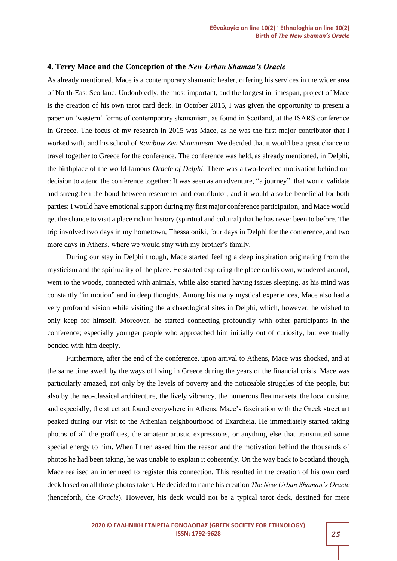#### **4. Terry Mace and the Conception of the** *New Urban Shaman's Oracle*

As already mentioned, Mace is a contemporary shamanic healer, offering his services in the wider area of North-East Scotland. Undoubtedly, the most important, and the longest in timespan, project of Mace is the creation of his own tarot card deck. In October 2015, I was given the opportunity to present a paper on 'western' forms of contemporary shamanism, as found in Scotland, at the ISARS conference in Greece. The focus of my research in 2015 was Mace, as he was the first major contributor that I worked with, and his school of *Rainbow Zen Shamanism*. We decided that it would be a great chance to travel together to Greece for the conference. The conference was held, as already mentioned, in Delphi, the birthplace of the world-famous *Oracle of Delphi*. There was a two-levelled motivation behind our decision to attend the conference together: It was seen as an adventure, "a journey", that would validate and strengthen the bond between researcher and contributor, and it would also be beneficial for both parties: I would have emotional support during my first major conference participation, and Mace would get the chance to visit a place rich in history (spiritual and cultural) that he has never been to before. The trip involved two days in my hometown, Thessaloniki, four days in Delphi for the conference, and two more days in Athens, where we would stay with my brother's family.

During our stay in Delphi though, Mace started feeling a deep inspiration originating from the mysticism and the spirituality of the place. He started exploring the place on his own, wandered around, went to the woods, connected with animals, while also started having issues sleeping, as his mind was constantly "in motion" and in deep thoughts. Among his many mystical experiences, Mace also had a very profound vision while visiting the archaeological sites in Delphi, which, however, he wished to only keep for himself. Moreover, he started connecting profoundly with other participants in the conference; especially younger people who approached him initially out of curiosity, but eventually bonded with him deeply.

Furthermore, after the end of the conference, upon arrival to Athens, Mace was shocked, and at the same time awed, by the ways of living in Greece during the years of the financial crisis. Mace was particularly amazed, not only by the levels of poverty and the noticeable struggles of the people, but also by the neo-classical architecture, the lively vibrancy, the numerous flea markets, the local cuisine, and especially, the street art found everywhere in Athens. Mace's fascination with the Greek street art peaked during our visit to the Athenian neighbourhood of Exarcheia. He immediately started taking photos of all the graffities, the amateur artistic expressions, or anything else that transmitted some special energy to him. When I then asked him the reason and the motivation behind the thousands of photos he had been taking, he was unable to explain it coherently. On the way back to Scotland though, Mace realised an inner need to register this connection. This resulted in the creation of his own card deck based on all those photos taken. He decided to name his creation *The New Urban Shaman's Oracle* (henceforth, the *Oracle*). However, his deck would not be a typical tarot deck, destined for mere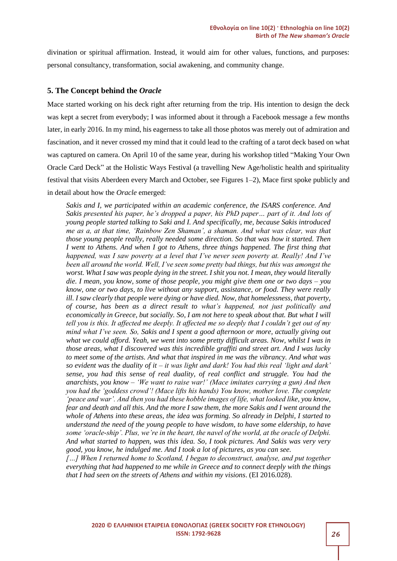divination or spiritual affirmation. Instead, it would aim for other values, functions, and purposes: personal consultancy, transformation, social awakening, and community change.

#### **5. The Concept behind the** *Oracle*

Mace started working on his deck right after returning from the trip. His intention to design the deck was kept a secret from everybody; I was informed about it through a Facebook message a few months later, in early 2016. In my mind, his eagerness to take all those photos was merely out of admiration and fascination, and it never crossed my mind that it could lead to the crafting of a tarot deck based on what was captured on camera. On April 10 of the same year, during his workshop titled "Making Your Own Oracle Card Deck" at the Holistic Ways Festival (a travelling New Age/holistic health and spirituality festival that visits Aberdeen every March and October, see Figures 1–2), Mace first spoke publicly and in detail about how the *Oracle* emerged:

*Sakis and I, we participated within an academic conference, the ISARS conference. And Sakis presented his paper, he's dropped a paper, his PhD paper… part of it. And lots of young people started talking to Saki and I. And specifically, me, because Sakis introduced me as a, at that time, 'Rainbow Zen Shaman', a shaman. And what was clear, was that those young people really, really needed some direction. So that was how it started. Then I went to Athens. And when I got to Athens, three things happened. The first thing that happened, was I saw poverty at a level that I've never seen poverty at. Really! And I've been all around the world. Well, I've seen some pretty bad things, but this was amongst the worst. What I saw was people dying in the street. I shit you not. I mean, they would literally die. I mean, you know, some of those people, you might give them one or two days – you know, one or two days, to live without any support, assistance, or food. They were really ill. I saw clearly that people were dying or have died. Now, that homelessness, that poverty, of course, has been as a direct result to what's happened, not just politically and economically in Greece, but socially. So, I am not here to speak about that. But what I will tell you is this. It affected me deeply. It affected me so deeply that I couldn't get out of my mind what I've seen. So, Sakis and I spent a good afternoon or more, actually giving out what we could afford. Yeah, we went into some pretty difficult areas. Now, whilst I was in those areas, what I discovered was this incredible graffiti and street art. And I was lucky to meet some of the artists. And what that inspired in me was the vibrancy. And what was so evident was the duality of it – it was light and dark! You had this real 'light and dark' sense, you had this sense of real duality, of real conflict and struggle. You had the anarchists, you know – 'We want to raise war!' (Mace imitates carrying a gun) And then you had the 'goddess crowd'! (Mace lifts his hands) You know, mother love. The complete 'peace and war'. And then you had these hobble images of life, what looked like, you know, fear and death and all this. And the more I saw them, the more Sakis and I went around the whole of Athens into these areas, the idea was forming. So already in Delphi, I started to understand the need of the young people to have wisdom, to have some eldership, to have some 'oracle-ship'. Plus, we're in the heart, the navel of the world, at the oracle of Delphi. And what started to happen, was this idea. So, I took pictures. And Sakis was very very good, you know, he indulged me. And I took a lot of pictures, as you can see.* 

*[…] When I returned home to Scotland, I began to deconstruct, analyse, and put together everything that had happened to me while in Greece and to connect deeply with the things that I had seen on the streets of Athens and within my visions*. (EI 2016.028).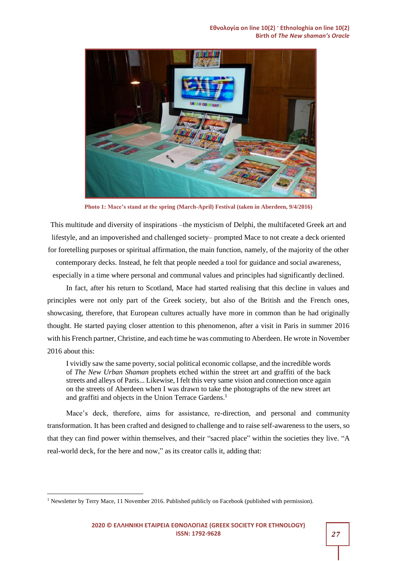**Εθνολογία on line 10(2) · Ethnologhia on line 10(2) Birth of** *The New shaman's Oracle*



**Photo 1: Mace's stand at the spring (March-April) Festival (taken in Aberdeen, 9/4/2016)**

This multitude and diversity of inspirations –the mysticism of Delphi, the multifaceted Greek art and lifestyle, and an impoverished and challenged society– prompted Mace to not create a deck oriented for foretelling purposes or spiritual affirmation, the main function, namely, of the majority of the other contemporary decks. Instead, he felt that people needed a tool for guidance and social awareness,

especially in a time where personal and communal values and principles had significantly declined. In fact, after his return to Scotland, Mace had started realising that this decline in values and

principles were not only part of the Greek society, but also of the British and the French ones, showcasing, therefore, that European cultures actually have more in common than he had originally thought. He started paying closer attention to this phenomenon, after a visit in Paris in summer 2016 with his French partner, Christine, and each time he was commuting to Aberdeen. He wrote in November 2016 about this:

I vividly saw the same poverty, social political economic collapse, and the incredible words of *The New Urban Shaman* prophets etched within the street art and graffiti of the back streets and alleys of Paris... Likewise, I felt this very same vision and connection once again on the streets of Aberdeen when I was drawn to take the photographs of the new street art and graffiti and objects in the Union Terrace Gardens. 1

Mace's deck, therefore, aims for assistance, re-direction, and personal and community transformation. It has been crafted and designed to challenge and to raise self-awareness to the users, so that they can find power within themselves, and their "sacred place" within the societies they live. "A real-world deck, for the here and now," as its creator calls it, adding that:

<sup>&</sup>lt;sup>1</sup> Newsletter by Terry Mace, 11 November 2016. Published publicly on Facebook (published with permission).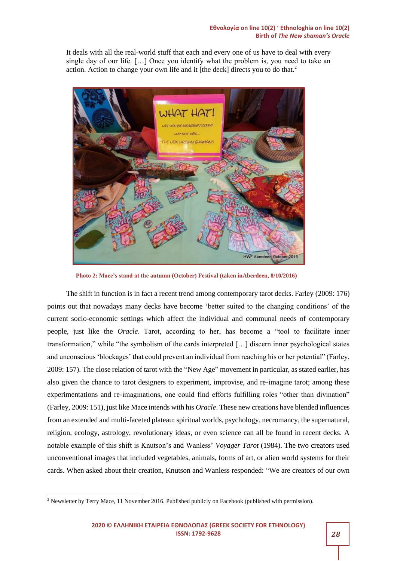It deals with all the real-world stuff that each and every one of us have to deal with every single day of our life. […] Once you identify what the problem is, you need to take an action. Action to change your own life and it [the deck] directs you to do that.<sup>2</sup>



**Photo 2: Mace's stand at the autumn (October) Festival (taken inAberdeen, 8/10/2016)**

The shift in function is in fact a recent trend among contemporary tarot decks. Farley (2009: 176) points out that nowadays many decks have become 'better suited to the changing conditions' of the current socio-economic settings which affect the individual and communal needs of contemporary people, just like the *Oracle*. Tarot, according to her, has become a "tool to facilitate inner transformation," while "the symbolism of the cards interpreted […] discern inner psychological states and unconscious 'blockages' that could prevent an individual from reaching his or her potential" (Farley, 2009: 157). The close relation of tarot with the "New Age" movement in particular, as stated earlier, has also given the chance to tarot designers to experiment, improvise, and re-imagine tarot; among these experimentations and re-imaginations, one could find efforts fulfilling roles "other than divination" (Farley, 2009: 151), just like Mace intends with his *Oracle*. These new creations have blended influences from an extended and multi-faceted plateau: spiritual worlds, psychology, necromancy, the supernatural, religion, ecology, astrology, revolutionary ideas, or even science can all be found in recent decks. A notable example of this shift is Knutson's and Wanless' *Voyager Tarot* (1984). The two creators used unconventional images that included vegetables, animals, forms of art, or alien world systems for their cards. When asked about their creation, Knutson and Wanless responded: "We are creators of our own

<sup>&</sup>lt;sup>2</sup> Newsletter by Terry Mace, 11 November 2016. Published publicly on Facebook (published with permission).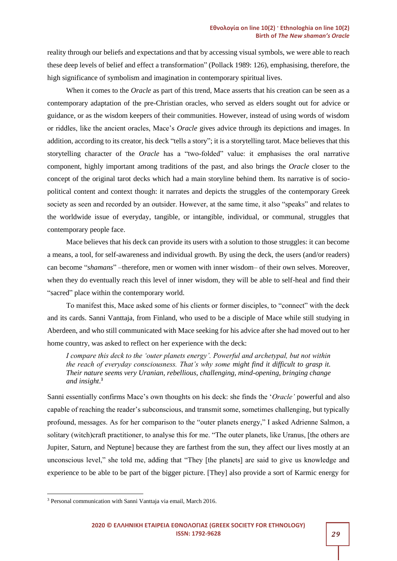reality through our beliefs and expectations and that by accessing visual symbols, we were able to reach these deep levels of belief and effect a transformation" (Pollack 1989: 126), emphasising, therefore, the high significance of symbolism and imagination in contemporary spiritual lives.

When it comes to the *Oracle* as part of this trend, Mace asserts that his creation can be seen as a contemporary adaptation of the pre-Christian oracles, who served as elders sought out for advice or guidance, or as the wisdom keepers of their communities. However, instead of using words of wisdom or riddles, like the ancient oracles, Mace's *Oracle* gives advice through its depictions and images. In addition, according to its creator, his deck "tells a story"; it is a storytelling tarot. Mace believes that this storytelling character of the *Oracle* has a "two-folded" value: it emphasises the oral narrative component, highly important among traditions of the past, and also brings the *Oracle* closer to the concept of the original tarot decks which had a main storyline behind them. Its narrative is of sociopolitical content and context though: it narrates and depicts the struggles of the contemporary Greek society as seen and recorded by an outsider. However, at the same time, it also "speaks" and relates to the worldwide issue of everyday, tangible, or intangible, individual, or communal, struggles that contemporary people face.

Mace believes that his deck can provide its users with a solution to those struggles: it can become a means, a tool, for self-awareness and individual growth. By using the deck, the users (and/or readers) can become "*shamans*" –therefore, men or women with inner wisdom– of their own selves. Moreover, when they do eventually reach this level of inner wisdom, they will be able to self-heal and find their "sacred" place within the contemporary world.

To manifest this, Mace asked some of his clients or former disciples, to "connect" with the deck and its cards. Sanni Vanttaja, from Finland, who used to be a disciple of Mace while still studying in Aberdeen, and who still communicated with Mace seeking for his advice after she had moved out to her home country, was asked to reflect on her experience with the deck:

*I compare this deck to the 'outer planets energy'. Powerful and archetypal, but not within the reach of everyday consciousness. That's why some might find it difficult to grasp it. Their nature seems very Uranian, rebellious, challenging, mind-opening, bringing change and insight*. 3

Sanni essentially confirms Mace's own thoughts on his deck: she finds the '*Oracle'* powerful and also capable of reaching the reader's subconscious, and transmit some, sometimes challenging, but typically profound, messages. As for her comparison to the "outer planets energy," I asked Adrienne Salmon, a solitary (witch)craft practitioner, to analyse this for me. "The outer planets, like Uranus, [the others are Jupiter, Saturn, and Neptune] because they are farthest from the sun, they affect our lives mostly at an unconscious level," she told me, adding that "They [the planets] are said to give us knowledge and experience to be able to be part of the bigger picture. [They] also provide a sort of Karmic energy for

<sup>3</sup> Personal communication with Sanni Vanttaja via email, March 2016.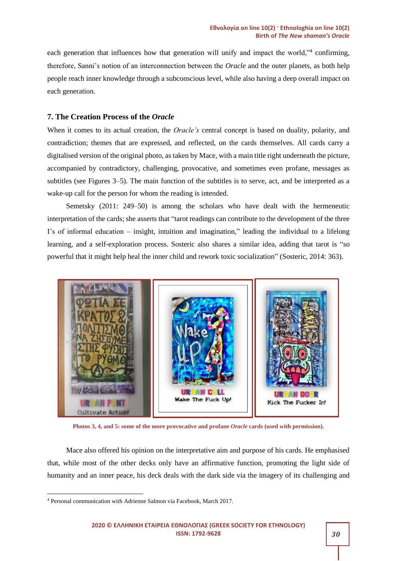each generation that influences how that generation will unify and impact the world,"<sup>4</sup> confirming, therefore, Sanni's notion of an interconnection between the *Oracle* and the outer planets, as both help people reach inner knowledge through a subconscious level, while also having a deep overall impact on each generation.

#### **7. The Creation Process of the** *Oracle*

When it comes to its actual creation, the *Oracle's* central concept is based on duality, polarity, and contradiction; themes that are expressed, and reflected, on the cards themselves. All cards carry a digitalised version of the original photo, as taken by Mace, with a main title right underneath the picture, accompanied by contradictory, challenging, provocative, and sometimes even profane, messages as subtitles (see Figures 3–5). The main function of the subtitles is to serve, act, and be interpreted as a wake-up call for the person for whom the reading is intended.

Semetsky (2011: 249–50) is among the scholars who have dealt with the hermeneutic interpretation of the cards; she asserts that "tarot readings can contribute to the development of the three I's of informal education – insight, intuition and imagination," leading the individual to a lifelong learning, and a self-exploration process. Sosteric also shares a similar idea, adding that tarot is "so powerful that it might help heal the inner child and rework toxic socialization" (Sosteric, 2014: 363).



**Photos 3, 4, and 5: some of the more provocative and profane** *Oracle* **cards (used with permission).**

Mace also offered his opinion on the interpretative aim and purpose of his cards. He emphasised that, while most of the other decks only have an affirmative function, promoting the light side of humanity and an inner peace, his deck deals with the dark side via the imagery of its challenging and

<sup>4</sup> Personal communication with Adrienne Salmon via Facebook, March 2017.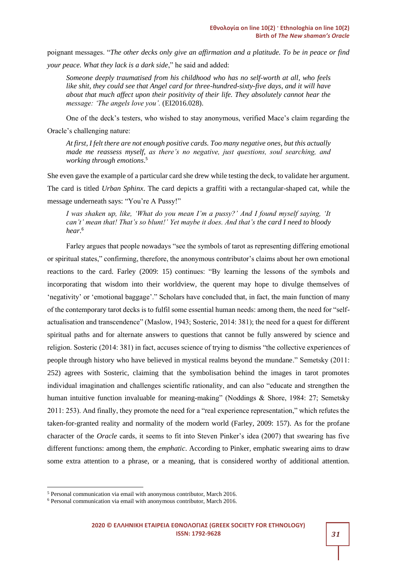poignant messages. "*The other decks only give an affirmation and a platitude. To be in peace or find your peace. What they lack is a dark side*," he said and added:

*Someone deeply traumatised from his childhood who has no self-worth at all, who feels like shit, they could see that Angel card for three-hundred-sixty-five days, and it will have about that much affect upon their positivity of their life. They absolutely cannot hear the message: 'The angels love you'.* (EI2016.028).

One of the deck's testers, who wished to stay anonymous, verified Mace's claim regarding the Oracle's challenging nature:

*At first, I felt there are not enough positive cards. Too many negative ones, but this actually made me reassess myself, as there's no negative, just questions, soul searching, and working through emotions*. 5

She even gave the example of a particular card she drew while testing the deck, to validate her argument. The card is titled *Urban Sphinx*. The card depicts a graffiti with a rectangular-shaped cat, while the message underneath says: "You're A Pussy!"

*I was shaken up, like, 'What do you mean I'm a pussy?' And I found myself saying, 'It can't' mean that! That's so blunt!' Yet maybe it does. And that's the card I need to bloody hear*. 6

Farley argues that people nowadays "see the symbols of tarot as representing differing emotional or spiritual states," confirming, therefore, the anonymous contributor's claims about her own emotional reactions to the card. Farley (2009: 15) continues: "By learning the lessons of the symbols and incorporating that wisdom into their worldview, the querent may hope to divulge themselves of 'negativity' or 'emotional baggage'." Scholars have concluded that, in fact, the main function of many of the contemporary tarot decks is to fulfil some essential human needs: among them, the need for "selfactualisation and transcendence" (Maslow, 1943; Sosteric, 2014: 381); the need for a quest for different spiritual paths and for alternate answers to questions that cannot be fully answered by science and religion. Sosteric (2014: 381) in fact, accuses science of trying to dismiss "the collective experiences of people through history who have believed in mystical realms beyond the mundane." Semetsky (2011: 252) agrees with Sosteric, claiming that the symbolisation behind the images in tarot promotes individual imagination and challenges scientific rationality, and can also "educate and strengthen the human intuitive function invaluable for meaning-making" (Noddings & Shore, 1984: 27; Semetsky 2011: 253). And finally, they promote the need for a "real experience representation," which refutes the taken-for-granted reality and normality of the modern world (Farley, 2009: 157). As for the profane character of the *Oracle* cards, it seems to fit into Steven Pinker's idea (2007) that swearing has five different functions: among them, the *emphatic*. According to Pinker, emphatic swearing aims to draw some extra attention to a phrase, or a meaning, that is considered worthy of additional attention.

<sup>5</sup> Personal communication via email with anonymous contributor, March 2016.

<sup>6</sup> Personal communication via email with anonymous contributor, March 2016.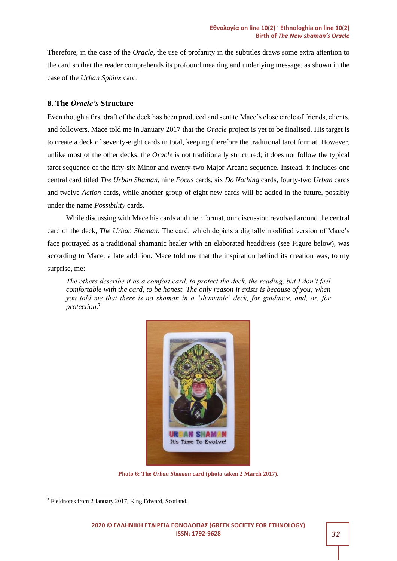Therefore, in the case of the *Oracle*, the use of profanity in the subtitles draws some extra attention to the card so that the reader comprehends its profound meaning and underlying message, as shown in the case of the *Urban Sphinx* card.

#### **8. The** *Oracle's* **Structure**

Even though a first draft of the deck has been produced and sent to Mace's close circle of friends, clients, and followers, Mace told me in January 2017 that the *Oracle* project is yet to be finalised. His target is to create a deck of seventy-eight cards in total, keeping therefore the traditional tarot format. However, unlike most of the other decks, the *Oracle* is not traditionally structured; it does not follow the typical tarot sequence of the fifty-six Minor and twenty-two Major Arcana sequence. Instead, it includes one central card titled *The Urban Shaman*, nine *Focus* cards, six *Do Nothing* cards, fourty-two *Urban* cards and twelve *Action* cards, while another group of eight new cards will be added in the future, possibly under the name *Possibility* cards.

While discussing with Mace his cards and their format, our discussion revolved around the central card of the deck, *The Urban Shaman.* The card, which depicts a digitally modified version of Mace's face portrayed as a traditional shamanic healer with an elaborated headdress (see Figure below), was according to Mace, a late addition. Mace told me that the inspiration behind its creation was, to my surprise, me:

*The others describe it as a comfort card, to protect the deck, the reading, but I don't feel comfortable with the card, to be honest. The only reason it exists is because of you; when you told me that there is no shaman in a 'shamanic' deck, for guidance, and, or, for protection*. 7



**Photo 6: The** *Urban Shaman* **card (photo taken 2 March 2017).**

<sup>7</sup> Fieldnotes from 2 January 2017, King Edward, Scotland.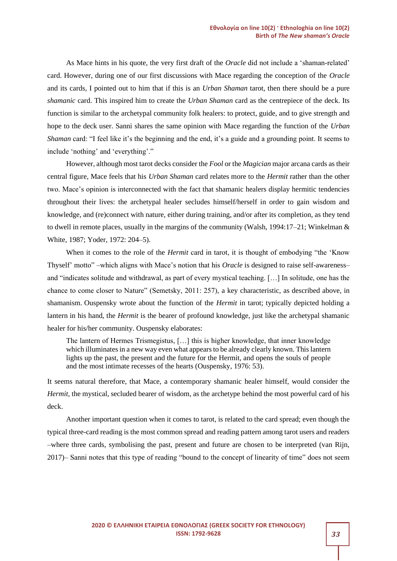As Mace hints in his quote, the very first draft of the *Oracle* did not include a 'shaman-related' card. However, during one of our first discussions with Mace regarding the conception of the *Oracle* and its cards, I pointed out to him that if this is an *Urban Shaman* tarot, then there should be a pure *shamanic* card. This inspired him to create the *Urban Shaman* card as the centrepiece of the deck. Its function is similar to the archetypal community folk healers: to protect, guide, and to give strength and hope to the deck user. Sanni shares the same opinion with Mace regarding the function of the *Urban Shaman* card: "I feel like it's the beginning and the end, it's a guide and a grounding point. It seems to include 'nothing' and 'everything'."

However, although most tarot decks consider the *Fool* or the *Magician* major arcana cards as their central figure, Mace feels that his *Urban Shaman* card relates more to the *Hermit* rather than the other two. Mace's opinion is interconnected with the fact that shamanic healers display hermitic tendencies throughout their lives: the archetypal healer secludes himself/herself in order to gain wisdom and knowledge, and (re)connect with nature, either during training, and/or after its completion, as they tend to dwell in remote places, usually in the margins of the community (Walsh, 1994:17–21; Winkelman  $\&$ White, 1987; Yoder, 1972: 204–5).

When it comes to the role of the *Hermit* card in tarot, it is thought of embodying "the 'Know Thyself' motto" –which aligns with Mace's notion that his *Oracle* is designed to raise self-awareness– and "indicates solitude and withdrawal, as part of every mystical teaching. […] In solitude, one has the chance to come closer to Nature" (Semetsky, 2011: 257), a key characteristic, as described above, in shamanism. Ouspensky wrote about the function of the *Hermit* in tarot; typically depicted holding a lantern in his hand, the *Hermit* is the bearer of profound knowledge, just like the archetypal shamanic healer for his/her community. Ouspensky elaborates:

The lantern of Hermes Trismegistus, […] this is higher knowledge, that inner knowledge which illuminates in a new way even what appears to be already clearly known. This lantern lights up the past, the present and the future for the Hermit, and opens the souls of people and the most intimate recesses of the hearts (Ouspensky, 1976: 53).

It seems natural therefore, that Mace, a contemporary shamanic healer himself, would consider the *Hermit*, the mystical, secluded bearer of wisdom, as the archetype behind the most powerful card of his deck.

Another important question when it comes to tarot, is related to the card spread; even though the typical three-card reading is the most common spread and reading pattern among tarot users and readers –where three cards, symbolising the past, present and future are chosen to be interpreted (van Rijn, 2017)– Sanni notes that this type of reading "bound to the concept of linearity of time" does not seem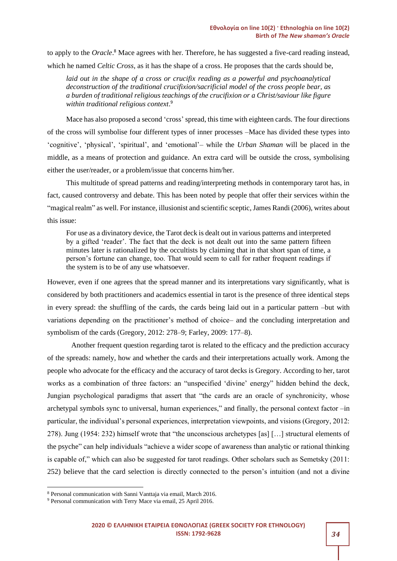to apply to the *Oracle*. <sup>8</sup> Mace agrees with her. Therefore, he has suggested a five-card reading instead,

which he named *Celtic Cross*, as it has the shape of a cross. He proposes that the cards should be,

laid out in the shape of a cross or crucifix reading as a powerful and psychoanalytical *deconstruction of the traditional crucifixion/sacrificial model of the cross people bear, as a burden of traditional religious teachings of the crucifixion or a Christ/saviour like figure within traditional religious context*. 9

Mace has also proposed a second 'cross' spread, this time with eighteen cards. The four directions of the cross will symbolise four different types of inner processes –Mace has divided these types into 'cognitive', 'physical', 'spiritual', and 'emotional'– while the *Urban Shaman* will be placed in the middle, as a means of protection and guidance. An extra card will be outside the cross, symbolising either the user/reader, or a problem/issue that concerns him/her.

This multitude of spread patterns and reading/interpreting methods in contemporary tarot has, in fact, caused controversy and debate. This has been noted by people that offer their services within the "magical realm" as well. For instance, illusionist and scientific sceptic, James Randi (2006), writes about this issue:

For use as a divinatory device, the Tarot deck is dealt out in various patterns and interpreted by a gifted 'reader'. The fact that the deck is not dealt out into the same pattern fifteen minutes later is rationalized by the occultists by claiming that in that short span of time, a person's fortune can change, too. That would seem to call for rather frequent readings if the system is to be of any use whatsoever.

However, even if one agrees that the spread manner and its interpretations vary significantly, what is considered by both practitioners and academics essential in tarot is the presence of three identical steps in every spread: the shuffling of the cards, the cards being laid out in a particular pattern –but with variations depending on the practitioner's method of choice– and the concluding interpretation and symbolism of the cards (Gregory, 2012: 278–9; Farley, 2009: 177–8).

Another frequent question regarding tarot is related to the efficacy and the prediction accuracy of the spreads: namely, how and whether the cards and their interpretations actually work. Among the people who advocate for the efficacy and the accuracy of tarot decks is Gregory. According to her, tarot works as a combination of three factors: an "unspecified 'divine' energy" hidden behind the deck, Jungian psychological paradigms that assert that "the cards are an oracle of synchronicity, whose archetypal symbols sync to universal, human experiences," and finally, the personal context factor –in particular, the individual's personal experiences, interpretation viewpoints, and visions (Gregory, 2012: 278). Jung (1954: 232) himself wrote that "the unconscious archetypes [as] […] structural elements of the psyche" can help individuals "achieve a wider scope of awareness than analytic or rational thinking is capable of," which can also be suggested for tarot readings. Other scholars such as Semetsky (2011: 252) believe that the card selection is directly connected to the person's intuition (and not a divine

<sup>8</sup> Personal communication with Sanni Vanttaja via email, March 2016.

<sup>9</sup> Personal communication with Terry Mace via email, 25 April 2016.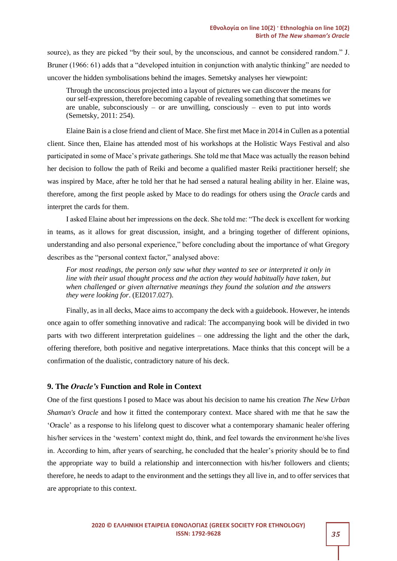source), as they are picked "by their soul, by the unconscious, and cannot be considered random." J. Bruner (1966: 61) adds that a "developed intuition in conjunction with analytic thinking" are needed to uncover the hidden symbolisations behind the images. Semetsky analyses her viewpoint:

Through the unconscious projected into a layout of pictures we can discover the means for our self-expression, therefore becoming capable of revealing something that sometimes we are unable, subconsciously – or are unwilling, consciously – even to put into words (Semetsky, 2011: 254).

Elaine Bain is a close friend and client of Mace. She first met Mace in 2014 in Cullen as a potential client. Since then, Elaine has attended most of his workshops at the Holistic Ways Festival and also participated in some of Mace's private gatherings. She told me that Mace was actually the reason behind her decision to follow the path of Reiki and become a qualified master Reiki practitioner herself; she was inspired by Mace, after he told her that he had sensed a natural healing ability in her. Elaine was, therefore, among the first people asked by Mace to do readings for others using the *Oracle* cards and interpret the cards for them.

I asked Elaine about her impressions on the deck. She told me: "The deck is excellent for working in teams, as it allows for great discussion, insight, and a bringing together of different opinions, understanding and also personal experience," before concluding about the importance of what Gregory describes as the "personal context factor," analysed above:

*For most readings, the person only saw what they wanted to see or interpreted it only in line with their usual thought process and the action they would habitually have taken, but when challenged or given alternative meanings they found the solution and the answers they were looking for*. (EI2017.027).

Finally, as in all decks, Mace aims to accompany the deck with a guidebook. However, he intends once again to offer something innovative and radical: The accompanying book will be divided in two parts with two different interpretation guidelines – one addressing the light and the other the dark, offering therefore, both positive and negative interpretations. Mace thinks that this concept will be a confirmation of the dualistic, contradictory nature of his deck.

#### **9. The** *Oracle's* **Function and Role in Context**

One of the first questions I posed to Mace was about his decision to name his creation *The New Urban Shaman's Oracle* and how it fitted the contemporary context. Mace shared with me that he saw the 'Oracle' as a response to his lifelong quest to discover what a contemporary shamanic healer offering his/her services in the 'western' context might do, think, and feel towards the environment he/she lives in. According to him, after years of searching, he concluded that the healer's priority should be to find the appropriate way to build a relationship and interconnection with his/her followers and clients; therefore, he needs to adapt to the environment and the settings they all live in, and to offer services that are appropriate to this context.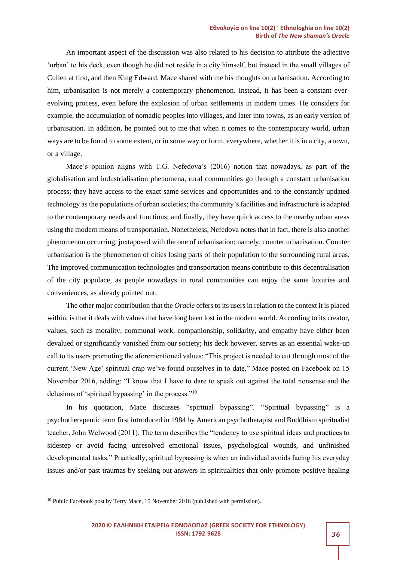An important aspect of the discussion was also related to his decision to attribute the adjective 'urban' to his deck, even though he did not reside in a city himself, but instead in the small villages of Cullen at first, and then King Edward. Mace shared with me his thoughts on urbanisation. According to him, urbanisation is not merely a contemporary phenomenon. Instead, it has been a constant everevolving process, even before the explosion of urban settlements in modern times. He considers for example, the accumulation of nomadic peoples into villages, and later into towns, as an early version of urbanisation. In addition, he pointed out to me that when it comes to the contemporary world, urban ways are to be found to some extent, or in some way or form, everywhere, whether it is in a city, a town, or a village.

Mace's opinion aligns with T.G. Nefedova's (2016) notion that nowadays, as part of the globalisation and industrialisation phenomena, rural communities go through a constant urbanisation process; they have access to the exact same services and opportunities and to the constantly updated technology as the populations of urban societies; the community's facilities and infrastructure is adapted to the contemporary needs and functions; and finally, they have quick access to the nearby urban areas using the modern means of transportation. Nonetheless, Nefedova notes that in fact, there is also another phenomenon occurring, juxtaposed with the one of urbanisation; namely, counter urbanisation. Counter urbanisation is the phenomenon of cities losing parts of their population to the surrounding rural areas. The improved communication technologies and transportation means contribute to this decentralisation of the city populace, as people nowadays in rural communities can enjoy the same luxuries and conveniences, as already pointed out.

The other major contribution that the *Oracle* offers to its users in relation to the context it is placed within, is that it deals with values that have long been lost in the modern world. According to its creator, values, such as morality, communal work, companionship, solidarity, and empathy have either been devalued or significantly vanished from our society; his deck however, serves as an essential wake-up call to its users promoting the aforementioned values: "This project is needed to cut through most of the current 'New Age' spiritual crap we've found ourselves in to date," Mace posted on Facebook on 15 November 2016, adding: "I know that I have to dare to speak out against the total nonsense and the delusions of 'spiritual bypassing' in the process."<sup>10</sup>

In his quotation, Mace discusses "spiritual bypassing". "Spiritual bypassing" is a psychotherapeutic term first introduced in 1984 by American psychotherapist and Buddhism spiritualist teacher, John Welwood (2011). The term describes the "tendency to use spiritual ideas and practices to sidestep or avoid facing unresolved emotional issues, psychological wounds, and unfinished developmental tasks." Practically, spiritual bypassing is when an individual avoids facing his everyday issues and/or past traumas by seeking out answers in spiritualities that only promote positive healing

<sup>&</sup>lt;sup>10</sup> Public Facebook post by Terry Mace, 15 November 2016 (published with permission).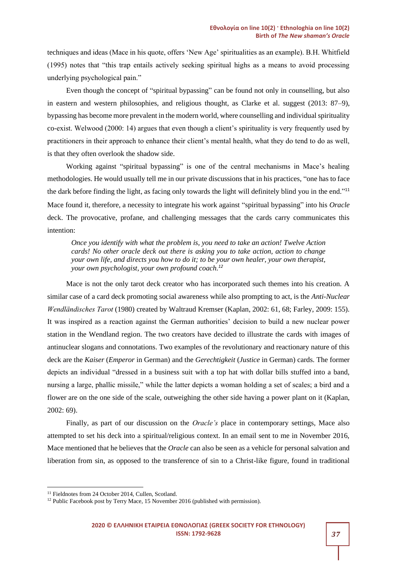techniques and ideas (Mace in his quote, offers 'New Age' spiritualities as an example). B.H. Whitfield (1995) notes that "this trap entails actively seeking spiritual highs as a means to avoid processing underlying psychological pain."

Even though the concept of "spiritual bypassing" can be found not only in counselling, but also in eastern and western philosophies, and religious thought, as Clarke et al. suggest (2013: 87–9), bypassing has become more prevalent in the modern world, where counselling and individual spirituality co-exist. Welwood (2000: 14) argues that even though a client's spirituality is very frequently used by practitioners in their approach to enhance their client's mental health, what they do tend to do as well, is that they often overlook the shadow side.

Working against "spiritual bypassing" is one of the central mechanisms in Mace's healing methodologies. He would usually tell me in our private discussions that in his practices, "one has to face the dark before finding the light, as facing only towards the light will definitely blind you in the end."<sup>11</sup> Mace found it, therefore, a necessity to integrate his work against "spiritual bypassing" into his *Oracle* deck. The provocative, profane, and challenging messages that the cards carry communicates this intention:

*Once you identify with what the problem is, you need to take an action! Twelve Action cards! No other oracle deck out there is asking you to take action, action to change your own life, and directs you how to do it; to be your own healer, your own therapist, your own psychologist, your own profound coach.<sup>12</sup>*

Mace is not the only tarot deck creator who has incorporated such themes into his creation. A similar case of a card deck promoting social awareness while also prompting to act, is the *Anti-Nuclear Wendländisches Tarot* (1980) created by Waltraud Kremser (Kaplan, 2002: 61, 68; Farley, 2009: 155). It was inspired as a reaction against the German authorities' decision to build a new nuclear power station in the Wendland region. The two creators have decided to illustrate the cards with images of antinuclear slogans and connotations. Two examples of the revolutionary and reactionary nature of this deck are the *Kaiser* (*Emperor* in German) and the *Gerechtigkeit* (*Justice* in German) cards. The former depicts an individual "dressed in a business suit with a top hat with dollar bills stuffed into a band, nursing a large, phallic missile," while the latter depicts a woman holding a set of scales; a bird and a flower are on the one side of the scale, outweighing the other side having a power plant on it (Kaplan, 2002: 69).

Finally, as part of our discussion on the *Oracle's* place in contemporary settings, Mace also attempted to set his deck into a spiritual/religious context. In an email sent to me in November 2016, Mace mentioned that he believes that the *Oracle* can also be seen as a vehicle for personal salvation and liberation from sin, as opposed to the transference of sin to a Christ-like figure, found in traditional

<sup>11</sup> Fieldnotes from 24 October 2014, Cullen, Scotland.

<sup>&</sup>lt;sup>12</sup> Public Facebook post by Terry Mace, 15 November 2016 (published with permission).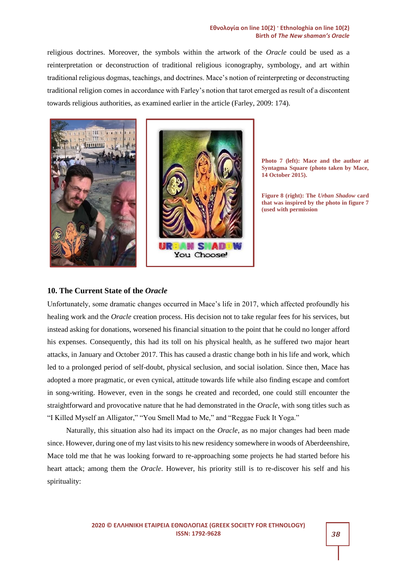#### **Εθνολογία on line 10(2) · Ethnologhia on line 10(2) Birth of** *The New shaman's Oracle*

religious doctrines. Moreover, the symbols within the artwork of the *Oracle* could be used as a reinterpretation or deconstruction of traditional religious iconography, symbology, and art within traditional religious dogmas, teachings, and doctrines. Mace's notion of reinterpreting or deconstructing traditional religion comes in accordance with Farley's notion that tarot emerged as result of a discontent towards religious authorities, as examined earlier in the article (Farley, 2009: 174).



**Photo 7 (left): Mace and the author at Syntagma Square (photo taken by Mace, 14 October 2015).**

**Figure 8 (right): The** *Urban Shadow* **card that was inspired by the photo in figure 7 (used with permission**

#### **10. The Current State of the** *Oracle*

Unfortunately, some dramatic changes occurred in Mace's life in 2017, which affected profoundly his healing work and the *Oracle* creation process. His decision not to take regular fees for his services, but instead asking for donations, worsened his financial situation to the point that he could no longer afford his expenses. Consequently, this had its toll on his physical health, as he suffered two major heart attacks, in January and October 2017. This has caused a drastic change both in his life and work, which led to a prolonged period of self-doubt, physical seclusion, and social isolation. Since then, Mace has adopted a more pragmatic, or even cynical, attitude towards life while also finding escape and comfort in song-writing. However, even in the songs he created and recorded, one could still encounter the straightforward and provocative nature that he had demonstrated in the *Oracle*, with song titles such as "I Killed Myself an Alligator," "You Smell Mad to Me," and "Reggae Fuck It Yoga."

Naturally, this situation also had its impact on the *Oracle*, as no major changes had been made since. However, during one of my last visits to his new residency somewhere in woods of Aberdeenshire, Mace told me that he was looking forward to re-approaching some projects he had started before his heart attack; among them the *Oracle*. However, his priority still is to re-discover his self and his spirituality: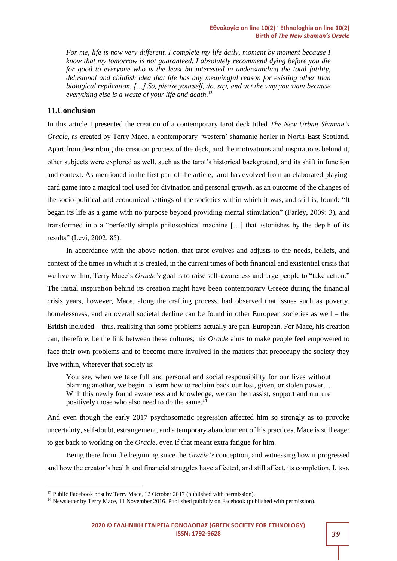*For me, life is now very different. I complete my life daily, moment by moment because I know that my tomorrow is not guaranteed. I absolutely recommend dying before you die for good to everyone who is the least bit interested in understanding the total futility, delusional and childish idea that life has any meaningful reason for existing other than biological replication. […] So, please yourself, do, say, and act the way you want because everything else is a waste of your life and death*. 13

#### **11.Conclusion**

In this article I presented the creation of a contemporary tarot deck titled *The New Urban Shaman's Oracle*, as created by Terry Mace, a contemporary 'western' shamanic healer in North-East Scotland. Apart from describing the creation process of the deck, and the motivations and inspirations behind it, other subjects were explored as well, such as the tarot's historical background, and its shift in function and context. As mentioned in the first part of the article, tarot has evolved from an elaborated playingcard game into a magical tool used for divination and personal growth, as an outcome of the changes of the socio-political and economical settings of the societies within which it was, and still is, found: "It began its life as a game with no purpose beyond providing mental stimulation" (Farley, 2009: 3), and transformed into a "perfectly simple philosophical machine […] that astonishes by the depth of its results" (Levi, 2002: 85).

In accordance with the above notion, that tarot evolves and adjusts to the needs, beliefs, and context of the times in which it is created, in the current times of both financial and existential crisis that we live within, Terry Mace's *Oracle's* goal is to raise self-awareness and urge people to "take action." The initial inspiration behind its creation might have been contemporary Greece during the financial crisis years, however, Mace, along the crafting process, had observed that issues such as poverty, homelessness, and an overall societal decline can be found in other European societies as well – the British included – thus, realising that some problems actually are pan-European. For Mace, his creation can, therefore, be the link between these cultures; his *Oracle* aims to make people feel empowered to face their own problems and to become more involved in the matters that preoccupy the society they live within, wherever that society is:

You see, when we take full and personal and social responsibility for our lives without blaming another, we begin to learn how to reclaim back our lost, given, or stolen power… With this newly found awareness and knowledge, we can then assist, support and nurture positively those who also need to do the same.<sup>14</sup>

And even though the early 2017 psychosomatic regression affected him so strongly as to provoke uncertainty, self-doubt, estrangement, and a temporary abandonment of his practices, Mace is still eager to get back to working on the *Oracle*, even if that meant extra fatigue for him.

Being there from the beginning since the *Oracle's* conception, and witnessing how it progressed and how the creator's health and financial struggles have affected, and still affect, its completion, I, too,

<sup>13</sup> Public Facebook post by Terry Mace, 12 October 2017 (published with permission).

<sup>&</sup>lt;sup>14</sup> Newsletter by Terry Mace, 11 November 2016. Published publicly on Facebook (published with permission).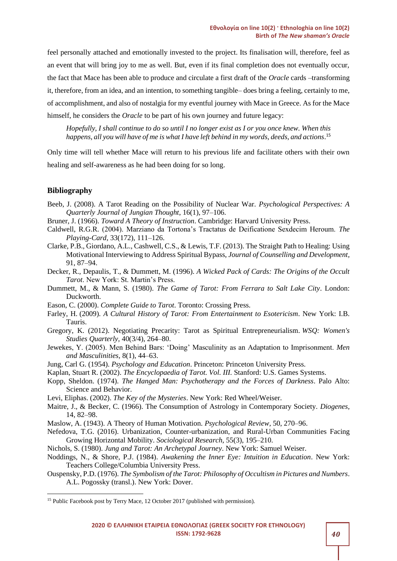feel personally attached and emotionally invested to the project. Its finalisation will, therefore, feel as an event that will bring joy to me as well. But, even if its final completion does not eventually occur, the fact that Mace has been able to produce and circulate a first draft of the *Oracle* cards –transforming it, therefore, from an idea, and an intention, to something tangible– does bring a feeling, certainly to me, of accomplishment, and also of nostalgia for my eventful journey with Mace in Greece. As for the Mace himself, he considers the *Oracle* to be part of his own journey and future legacy:

*Hopefully, I shall continue to do so until I no longer exist as I or you once knew. When this happens, all you will have of me is what I have left behind in my words, deeds, and actions*. 15

Only time will tell whether Mace will return to his previous life and facilitate others with their own healing and self-awareness as he had been doing for so long.

#### **Bibliography**

- Beeb, J. (2008). A Tarot Reading on the Possibility of Nuclear War. *Psychological Perspectives: A Quarterly Journal of Jungian Thought*, 16(1), 97–106.
- Bruner, J. (1966). *Toward A Theory of Instruction*. Cambridge: Harvard University Press.
- Caldwell, R.G.R. (2004). Marziano da Tortona's Tractatus de Deificatione Sexdecim Heroum. *The Playing-Card,* 33(172), 111–126.
- Clarke, P.B., Giordano, A.L., Cashwell, C.S., & Lewis, T.F. (2013). The Straight Path to Healing: Using Motivational Interviewing to Address Spiritual Bypass, *Journal of Counselling and Development,* 91, 87–94.
- Decker, R., Depaulis, T., & Dummett, M. (1996). *A Wicked Pack of Cards: The Origins of the Occult Tarot*. New York: St. Martin's Press.
- Dummett, M., & Mann, S. (1980). *The Game of Tarot: From Ferrara to Salt Lake City*. London: Duckworth.
- Eason, C. (2000). *Complete Guide to Tarot*. Toronto: Crossing Press.
- Farley, H. (2009). *A Cultural History of Tarot: From Entertainment to Esotericism*. New York: I.B. Tauris.
- Gregory, K. (2012). Negotiating Precarity: Tarot as Spiritual Entrepreneurialism. *WSQ: Women's Studies Quarterly,* 40(3/4), 264–80.
- Jewekes, Y. (2005). Men Behind Bars: 'Doing' Masculinity as an Adaptation to Imprisonment. *Men and Masculinities,* 8(1), 44–63.
- Jung, Carl G. (1954). *Psychology and Education*. Princeton: Princeton University Press.
- Kaplan, Stuart R. (2002). *The Encyclopaedia of Tarot. Vol. III.* Stanford: U.S. Games Systems.
- Kopp, Sheldon. (1974). *The Hanged Man: Psychotherapy and the Forces of Darkness*. Palo Alto: Science and Behavior.
- Levi, Eliphas. (2002). *The Key of the Mysteries*. New York: Red Wheel/Weiser.
- Maitre, J., & Becker, C. (1966). The Consumption of Astrology in Contemporary Society. *Diogenes,* 14, 82–98.
- Maslow, A. (1943). A Theory of Human Motivation. *Psychological Review,* 50, 270–96.
- Nefedova, T.G. (2016). Urbanization, Counter-urbanization, and Rural-Urban Communities Facing Growing Horizontal Mobility. *Sociological Research,* 55(3), 195–210.
- Nichols, S. (1980). *Jung and Tarot: An Archetypal Journey*. New York: Samuel Weiser.
- Noddings, N., & Shore, P.J. (1984). *Awakening the Inner Eye: Intuition in Education*. New York: Teachers College/Columbia University Press.
- Ouspensky, P.D. (1976). *The Symbolism of the Tarot: Philosophy of Occultism in Pictures and Numbers*. A.L. Pogossky (transl.). New York: Dover.

<sup>&</sup>lt;sup>15</sup> Public Facebook post by Terry Mace, 12 October 2017 (published with permission).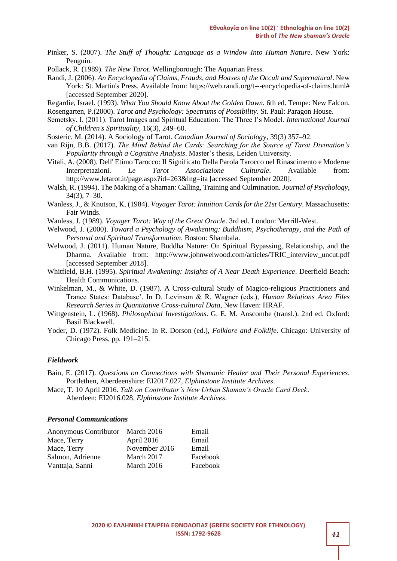- Pinker, S. (2007). *The Stuff of Thought: Language as a Window Into Human Nature*. New York: Penguin.
- Pollack, R. (1989). *The New Tarot*. Wellingborough: The Aquarian Press.
- Randi, J. (2006). *An Encyclopedia of Claims, Frauds, and Hoaxes of the Occult and Supernatural*. New York: St. Martin's Press. Available from: https://web.randi.org/t---encyclopedia-of-claims.html# [accessed September 2020].
- Regardie, Israel. (1993). *What You Should Know About the Golden Dawn.* 6th ed. Tempe: New Falcon. Rosengarten, P.(2000). *Tarot and Psychology: Spectrums of Possibility*. St. Paul: Paragon House.
- Semetsky, I. (2011). Tarot Images and Spiritual Education: The Three I's Model. *International Journal of Children's Spirituality,* 16(3), 249–60.
- Sosteric, M. (2014). A Sociology of Tarot. *Canadian Journal of Sociolog*y, 39(3) 357–92.
- van Rijn, B.B. (2017). *The Mind Behind the Cards: Searching for the Source of Tarot Divination's Popularity through a Cognitive Analysis*. Master's thesis, Leiden University.
- Vitali, A. (2008). Dell' Etimo Tarocco: Il Significato Della Parola Tarocco nel Rinascimento e Moderne Interpretazioni. *Le Tarot Associazione Culturale*. Available from: http://www.letarot.it/page.aspx?id=263&lng=ita [accessed September 2020].
- Walsh, R. (1994). The Making of a Shaman: Calling, Training and Culmination. *Journal of Psychology*, 34(3), 7–30.
- Wanless, J., & Knutson, Κ. (1984). *Voyager Tarot: Intuition Cards for the 21st Century*. Massachusetts: Fair Winds.
- Wanless, J. (1989). *Voyager Tarot: Way of the Great Oracle*. 3rd ed. London: Merrill-West.
- Welwood, J. (2000). *Toward a Psychology of Awakening: Buddhism, Psychotherapy, and the Path of Personal and Spiritual Transformation*. Boston: Shambala.
- Welwood, J. (2011). Human Nature, Buddha Nature: On Spiritual Bypassing, Relationship, and the Dharma. Available from: http://www.johnwelwood.com/articles/TRIC\_interview\_uncut.pdf [accessed September 2018].
- Whitfield, B.H. (1995). *Spiritual Awakening: Insights of A Near Death Experience*. Deerfield Beach: Health Communications.
- Winkelman, M., & White, D. (1987). A Cross-cultural Study of Magico-religious Practitioners and Trance States: Database'. In D. Levinson & R. Wagner (eds.), *Human Relations Area Files Research Series in Quantitative Cross-cultural Data*, New Haven: HRAF.
- Wittgenstein, L. (1968). *Philosophical Investigations*. G. E. M. Anscombe (transl.). 2nd ed. Oxford: Basil Blackwell.
- Yoder, D. (1972). Folk Medicine. In R. Dorson (ed.), *Folklore and Folklife*. Chicago: University of Chicago Press, pp. 191–215.

#### *Fieldwork*

- Bain, E. (2017). *Questions on Connections with Shamanic Healer and Their Personal Experiences*. Portlethen, Aberdeenshire: EI2017.027, *Elphinstone Institute Archives*.
- Mace, T. 10 April 2016. *Talk on Contributor's New Urban Shaman's Oracle Card Deck*. Aberdeen: EI2016.028, *Elphinstone Institute Archives*.

#### *Personal Communications*

| Anonymous Contributor March 2016 |               | Email    |
|----------------------------------|---------------|----------|
| Mace, Terry                      | April 2016    | Email    |
| Mace, Terry                      | November 2016 | Email    |
| Salmon, Adrienne                 | March 2017    | Facebook |
| Vanttaja, Sanni                  | March 2016    | Facebook |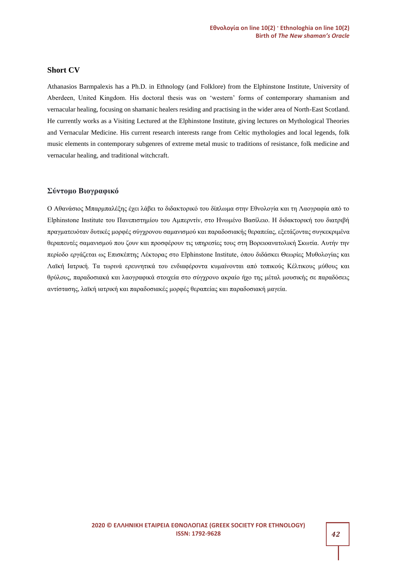#### **Short CV**

Athanasios Barmpalexis has a Ph.D. in Ethnology (and Folklore) from the Elphinstone Institute, University of Aberdeen, United Kingdom. His doctoral thesis was on 'western' forms of contemporary shamanism and vernacular healing, focusing on shamanic healers residing and practising in the wider area of North-East Scotland. He currently works as a Visiting Lectured at the Elphinstone Institute, giving lectures on Mythological Theories and Vernacular Medicine. His current research interests range from Celtic mythologies and local legends, folk music elements in contemporary subgenres of extreme metal music to traditions of resistance, folk medicine and vernacular healing, and traditional witchcraft.

#### **Σύντομο Βιογραφικό**

Ο Αθανάσιος Μπαρμπαλέξης έχει λάβει το διδακτορικό του δίπλωμα στην Εθνολογία και τη Λαογραφία από το Elphinstone Institute του Πανεπιστημίου του Αμπερντίν, στο Ηνωμένο Βασίλειο. H διδακτορική του διατριβή πραγματευόταν δυτικές μορφές σύγχρονου σαμανισμού και παραδοσιακής θεραπείας, εξετάζοντας συγκεκριμένα θεραπευτές σαμανισμού που ζουν και προσφέρουν τις υπηρεσίες τους στη Βορειοανατολική Σκωτία. Αυτήν την περίοδο εργάζεται ως Επισκέπτης Λέκτορας στο Elphinstone Institute, όπου διδάσκει Θεωρίες Μυθολογίας και Λαϊκή Ιατρική. Τα τωρινά ερευνητικά του ενδιαφέροντα κυμαίνονται από τοπικούς Κέλτικους μύθους και θρύλους, παραδοσιακά και λαογραφικά στοιχεία στο σύγχρονο ακραίο ήχο της μέταλ μουσικής σε παραδόσεις αντίστασης, λαϊκή ιατρική και παραδοσιακές μορφές θεραπείας και παραδοσιακή μαγεία.